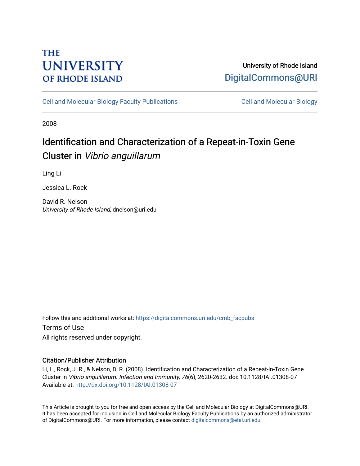## **THE UNIVERSITY OF RHODE ISLAND**

## University of Rhode Island [DigitalCommons@URI](https://digitalcommons.uri.edu/)

[Cell and Molecular Biology Faculty Publications](https://digitalcommons.uri.edu/cmb_facpubs) [Cell and Molecular Biology](https://digitalcommons.uri.edu/cmb) 

2008

# Identification and Characterization of a Repeat-in-Toxin Gene Cluster in Vibrio anguillarum

Ling Li

Jessica L. Rock

David R. Nelson University of Rhode Island, dnelson@uri.edu

Follow this and additional works at: [https://digitalcommons.uri.edu/cmb\\_facpubs](https://digitalcommons.uri.edu/cmb_facpubs?utm_source=digitalcommons.uri.edu%2Fcmb_facpubs%2F65&utm_medium=PDF&utm_campaign=PDFCoverPages)  Terms of Use All rights reserved under copyright.

### Citation/Publisher Attribution

Li, L., Rock, J. R., & Nelson, D. R. (2008). Identification and Characterization of a Repeat-in-Toxin Gene Cluster in Vibrio anguillarum. Infection and Immunity, 76(6), 2620-2632. doi: 10.1128/IAI.01308-07 Available at:<http://dx.doi.org/10.1128/IAI.01308-07>

This Article is brought to you for free and open access by the Cell and Molecular Biology at DigitalCommons@URI. It has been accepted for inclusion in Cell and Molecular Biology Faculty Publications by an authorized administrator of DigitalCommons@URI. For more information, please contact [digitalcommons@etal.uri.edu](mailto:digitalcommons@etal.uri.edu).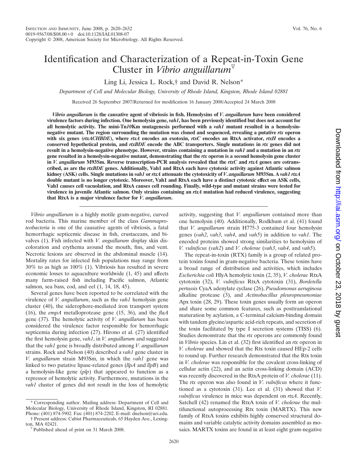### Identification and Characterization of a Repeat-in-Toxin Gene Cluster in *Vibrio anguillarum*

Ling Li, Jessica L. Rock,† and David R. Nelson\*

*Department of Cell and Molecular Biology, University of Rhode Island, Kingston, Rhode Island 02881*

Received 26 September 2007/Returned for modification 16 January 2008/Accepted 24 March 2008

*Vibrio anguillarum* **is the causative agent of vibriosis in fish. Hemolysins of** *V. anguillarum* **have been considered virulence factors during infection. One hemolysin gene,** *vah1***, has been previously identified but does not account for all hemolytic activity. The mini-Tn***10***Km mutagenesis performed with a** *vah1* **mutant resulted in a hemolysinnegative mutant. The region surrounding the mutation was cloned and sequenced, revealing a putative** *rtx* **operon with six genes (***rtxACHBDE***), where** *rtxA* **encodes an exotoxin,** *rtxC* **encodes an RtxA activator,** *rtxH* **encodes a conserved hypothetical protein, and** *rtxBDE* **encode the ABC transporters. Single mutations in** *rtx* **genes did not result in a hemolysin-negative phenotype. However, strains containing a mutation in** *vah1* **and a mutation in an** *rtx* **gene resulted in a hemolysin-negative mutant, demonstrating that the** *rtx* **operon is a second hemolysin gene cluster in** *V. anguillarum* **M93Sm. Reverse transcription-PCR analysis revealed that the** *rtxC* **and** *rtxA* **genes are cotranscribed, as are the** *rtxBDE* **genes. Additionally, Vah1 and RtxA each have cytotoxic activity against Atlantic salmon kidney (ASK) cells. Single mutations in** *vah1* **or** *rtxA* **attenuate the cytotoxicity of** *V***.** *anguillarum* **M93Sm. A** *vah1 rtxA* **double mutant is no longer cytotoxic. Moreover, Vah1 and RtxA each have a distinct cytotoxic effect on ASK cells, Vah1 causes cell vacuolation, and RtxA causes cell rounding. Finally, wild-type and mutant strains were tested for virulence in juvenile Atlantic salmon. Only strains containing an** *rtxA* **mutation had reduced virulence, suggesting that RtxA is a major virulence factor for** *V. anguillarum***.**

*Vibrio anguillarum* is a highly motile gram-negative, curved rod bacteria. This marine member of the class *Gammaproteobacteria* is one of the causative agents of vibriosis, a fatal hemorrhagic septicemic disease in fish, crustaceans, and bivalves (1). Fish infected with *V. anguillarum* display skin discoloration and erythema around the mouth, fins, and vent. Necrotic lesions are observed in the abdominal muscle (14). Mortality rates for infected fish populations may range from 30% to as high as 100% (1). Vibriosis has resulted in severe economic losses to aquaculture worldwide (1, 45) and affects many farm-raised fish including Pacific salmon, Atlantic salmon, sea bass, cod, and eel (1, 14, 18, 45).

Several genes have been reported to be correlated with the virulence of *V. anguillarum*, such as the *vah1* hemolysin gene cluster (40), the siderophore-mediated iron transport system (16), the *empA* metalloprotease gene (15, 36), and the *flaA* gene (37). The hemolytic activity of *V. anguillarum* has been considered the virulence factor responsible for hemorrhagic septicemia during infection (27). Hirono et al. (27) identified the first hemolysin gene, *vah1*, in *V. anguillarum* and suggested that the *vah1* gene is broadly distributed among *V. anguillarum* strains. Rock and Nelson (40) described a *vah1* gene cluster in *V. anguillarum* strain M93Sm, in which the *vah1* gene was linked to two putative lipase-related genes (*llpA* and *llpB*) and a hemolysin-like gene (*plp*) that appeared to function as a repressor of hemolytic activity. Furthermore, mutations in the *vah1* cluster of genes did not result in the loss of hemolytic

† Present address: Cubist Pharmaceuticals, 65 Hayden Ave., Lexing-

activity, suggesting that *V. anguillarum* contained more than one hemolysin (40). Additionally, Rodkhum et al. (41) found that *V. anguillarum* strain H775-3 contained four hemolysin genes (*vah2*, *vah3*, *vah4*, and *vah5*) in addition to *vah1*. The encoded proteins showed strong similarities to hemolysins of *V. vulnificus* (*vah2*) and *V. cholerae* (*vah3*, *vah4*, and *vah5*).

The repeat-in-toxin (RTX) family is a group of related protein toxins found in gram-negative bacteria. These toxins have a broad range of distribution and activities, which includes *Escherichia coli* HlyA hemolytic toxin (2, 35), *V. cholerae* RtxA cytotoxin (32), *V. vulnificus* RtxA cytotoxin (31), *Bordetella pertussis* CyaA adenylate cyclase (26), *Pseudomonas aeruginosa* alkaline protease (3), and *Actinobacillus pleuropneumoniae* Apx toxin (28, 29). These toxin genes usually form an operon and share some common features, such as posttranslational maturation by acylation, a C-terminal calcium-binding domain with tandem glycine/aspartic acid-rich repeats, and secretion of the toxin facilitated by type I secretion systems (TISS) (6). Studies demonstrate that the *rtx* operons are commonly found in *Vibrio* species. Lin et al. (32) first identified an *rtx* operon in *V. cholerae* and showed that the Rtx toxin caused HEp-2 cells to round up. Further research demonstrated that the Rtx toxin in *V. cholerae* was responsible for the covalent cross-linking of cellular actin (22), and an actin cross-linking domain (ACD) was recently discovered in the RtxA protein of *V. cholerae* (11). The *rtx* operon was also found in *V*. *vulnificus* where it functioned as a cytotoxin (31). Lee et al. (31) showed that *V. vulnificus* virulence in mice was dependent on *rtxA*. Recently, Satchell (42) renamed the RtxA toxin of *V. cholerae* the multifunctional autoprocessing Rtx toxin (MARTX). This new family of RtxA toxins exhibits highly conserved structural domains and variable catalytic activity domains assembled as mosaics. MARTX toxins are found in at least eight gram-negative

<sup>\*</sup> Corresponding author. Mailing address: Department of Cell and Molecular Biology, University of Rhode Island, Kingston, RI 02881. Phone: (401) 874-5902. Fax: (401) 874-2202. E-mail: dnelson@uri.edu.

Published ahead of print on 31 March 2008.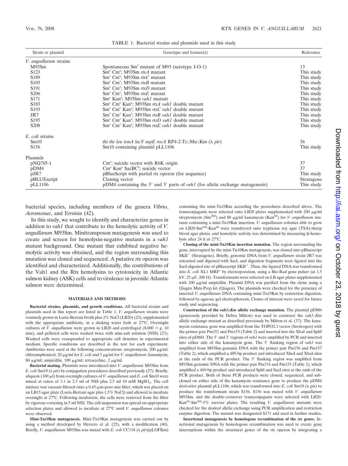| Strain or plasmid      | Genotype and feature(s)                                                                 | Reference  |
|------------------------|-----------------------------------------------------------------------------------------|------------|
| V. anguillarum strains |                                                                                         |            |
| M93Sm                  | Spontaneous Sm <sup>r</sup> mutant of M93 (serotype J-O-1)                              | 13         |
| S <sub>123</sub>       | $Smr$ Cm <sup>r</sup> ; M93Sm rtxA mutant                                               | This study |
| S <sub>189</sub>       | $Smr$ Cm <sup>r</sup> ; M93Sm rtxC mutant                                               | This study |
| S <sub>10</sub> 3      | $Smr$ Cm <sup>r</sup> ; M93Sm rtxB mutant                                               | This study |
| S <sub>191</sub>       | $Smr$ Cm <sup>r</sup> ; M93Sm <i>rtxD</i> mutant                                        | This study |
| <b>S206</b>            | $Smr$ Cm <sup>r</sup> ; M93Sm rtxE mutant                                               | This study |
| S <sub>171</sub>       | Sm <sup>r</sup> Kan <sup>r</sup> ; M93Sm vah1 mutant                                    | This study |
| S <sub>183</sub>       | Sm <sup>r</sup> Cm <sup>r</sup> Kan <sup>r</sup> ; M93Sm rtxA vah1 double mutant        | This study |
| S <sub>193</sub>       | Sm <sup>r</sup> Cm <sup>r</sup> Kan <sup>r</sup> ; M93Sm <i>rtxC vah1</i> double mutant | This study |
| JR7                    | Sm <sup>r</sup> Cm <sup>r</sup> Kan <sup>r</sup> ; M93Sm <i>rtxB vah1</i> double mutant | This study |
| S <sub>195</sub>       | Sm <sup>r</sup> Cm <sup>r</sup> Kan <sup>r</sup> ; M93Sm <i>rtxD vah1</i> double mutant | This study |
| <b>S208</b>            | Sm <sup>r</sup> Cm <sup>r</sup> Kan <sup>r</sup> ; M93Sm <i>rtxE vah1</i> double mutant | This study |
| E. coli strains        |                                                                                         |            |
| Sm10                   | <i>thi thr leu tonA lacY supE recA RP4-2-Tc::Mu::Km (<math>\lambda</math> pir)</i>      | 36         |
| S <sub>156</sub>       | Sm10 containing plasmid pLL1106                                                         | This study |
| Plasmids               |                                                                                         |            |
| pNQ705-1               | $\text{Cm}^{\text{r}}$ ; suicide vector with R6K origin                                 | 37         |
| pDM4                   | $\text{Cm}^r$ Kan <sup>r</sup> SacBC <sup>r</sup> ; suicide vector                      | 37         |
| pJR7                   | pBlueScript with partial $rtx$ operon (for sequence)                                    | This study |
| pBLUEscript            | Cloning vector                                                                          | Stratagene |
| pLL1106                | pDM4 containing the 5' and 3' parts of <i>vah1</i> (for allelic exchange mutagenesis)   | This study |

TABLE 1. Bacterial strains and plasmids used in this study

bacterial species, including members of the genera *Vibrio*, *Aeromonas*, and *Yersinia* (42).

In this study, we sought to identify and characterize genes in addition to *vah1* that contribute to the hemolytic activity of *V. anguillarum* M93Sm. Minitransposon mutagenesis was used to create and screen for hemolysin-negative mutants in a *vah1* mutant background. One mutant that exhibited negative hemolytic activity was obtained, and the region surrounding this mutation was cloned and sequenced. A putative *rtx* operon was identified and characterized. Additionally, the contributions of the Vah1 and the Rtx hemolysins to cytotoxicity in Atlantic salmon kidney (ASK) cells and to virulence in juvenile Atlantic salmon were determined.

#### **MATERIALS AND METHODS**

**Bacterial strains, plasmids, and growth conditions.** All bacterial strains and plasmids used in this report are listed in Table 1. *V. anguillarum* strains were routinely grown in Luria-Bertani broth plus 2% NaCl (LB20) (23), supplemented with the appropriate antibiotic, in a shaking water bath at 27°C. Overnight cultures of *V. anguillarum* were grown in LB20 and centrifuged  $(8,000 \times g, 10)$ min), and pelleted cells were washed twice with nine-salt solution (NSS) (23). Washed cells were resuspended to appropriate cell densities in experimental medium. Specific conditions are described in the text for each experiment. Antibiotics were used at the following concentrations: streptomycin,  $200 \mu g/ml$ ; chloramphenicol, 20 μg/ml for *E. coli* and 5 μg/ml for *V. anguillarum*; kanamycin, 80  $\mu$ g/ml; ampicillin, 100  $\mu$ g/ml; tetracycline, 2  $\mu$ g/ml.

**Bacterial mating.** Plasmids were introduced into *V. anguillarum* M93Sm from *E. coli* Sm10 ( $\lambda$  *pir*) by conjugation procedures described previously (37). Briefly, aliquots (100 µl) from overnight cultures of *V. anguillarum* and *E. coli* Sm10 were mixed at ratios of 1:1 in 2.5 ml of NSS plus 2.5 ml 10 mM MgSO4. The cell mixture was vacuum filtered onto a 0.45-µm-pore-size filter, which was placed on an LB15 agar plate (Luria-Bertani agar plus 1.5% NaCl) and allowed to incubate overnight at 27°C. Following incubation, the cells were removed from the filter by vigorous vortexing in 5 ml NSS. The cell suspension was spread on appropriate selection plates and allowed to incubate at 27°C until *V. anguillarum* colonies were observed.

**Mini-Tn***10***Km mutagenesis.** Mini-Tn*10*Km mutagenesis was carried out by using a method developed by Herrero et al. (25), with a modification (40). Briefly, *V. anguillarum* M93Sm was mated with *E. coli* CC118 ( *pir*)(pLOFKm) containing the mini-Tn*10*Km according the procedures described above. The transconjugants were selected onto LB20 plates supplemented with 200 µg/ml streptomycin (Sm<sup>200</sup>) and 80 µg/ml kanamycin (Kan<sup>80</sup>) for *V. anguillarum* mutants containing a mini-Tn*10*Km insertion. *V. anguillarum* colonies able to grow on LB20-Sm<sup>200</sup>-Kan<sup>80</sup> were transferred onto trypticase soy agar (TSA)-sheep blood agar plates, and hemolytic activity was determined by measuring  $\beta$ -hemolysis after 24 h at 27°C.

**Cloning of the mini-Tn***10***Km insertion mutation.** The region surrounding the gene, interrupted by the mini-Tn*10*Km mutagenesis, was cloned into pBluescript SKII<sup>+</sup> (Stratagene). Briefly, genomic DNA from *V. anguillarum* strain JR7 was extracted and digested with SacI, and digestion fragments were ligated into the SacI-digested site of pBluescript SKII<sup>+</sup>. Then, the ligated DNA was transformed into *E. coli* XL1 MRF' by electroporation, using a Bio-Rad gene pulser (at 1.5) kV, 25  $\mu$ F, 200  $\Omega$ ). Transformants were selected on LB agar plates supplemented with 100 µg/ml ampicillin. Plasmid DNA was purified from the clone using a Qiagen Mini-Prep kit (Qiagen). The plasmids were checked for the presence of inserted *V. anguillarum* DNA containing mini-Tn*10*Km by restriction digestion, followed by agarose gel electrophoresis. Clones of interest were saved for future study and sequencing.

**Construction of the** *vah1***::***Km* **allelic exchange mutation.** The plasmid pDM4 (generously provided by Debra Milton) was used to construct the *vah1*::*Km* allelic exchange mutant as described previously by Milton et al. (37). The kanamycin resistance gene was amplified from the TOPO2.1 vector (Invitrogen) with the primer pair Pm152 and Pm153 (Table 2) and inserted into the XbaI and SphI sites of pDM4. The 5' and 3' regions of *vah1* were amplified by PCR and inserted into either side of the kanamycin gene. The 5' flanking region of *vah1* was amplified from M93Sm genomic DNA with the primer pair Pm156 and Pm157 (Table 2), which amplified a 489-bp product and introduced XhoI and XbaI sites at the ends of the PCR product. The 3' flanking region was amplified from M93Sm genomic DNA with the primer pair Pm154 and Pm155 (Table 2), which amplified a 469-bp product and introduced SphI and SacI sites at the ends of the PCR product. Both of these PCR products were cloned, sequenced, and subcloned on either side of the kanamycin resistance gene to produce the pDM4 derivative plasmid pLL1106, which was transformed into *E. coli* Sm10 ( $\lambda$  pir) to produce the transformant strain S156. S156 was mated with *V. anguillarum* M93Sm, and the double-crossover transconjugants were selected with LB20- Kan80-Sm200-5% sucrose plates. The resulting *V. anguillarum* mutants were checked for the desired allelic exchange using PCR amplification and restriction enzyme digestion. The mutant was designated S171 and used in further studies.

**Insertional mutagenesis by homologous recombination of the** *rtx* **genes.** Insertional mutagenesis by homologous recombination was used to create gene interruptions within the structural genes of the *rtx* operon by integrating a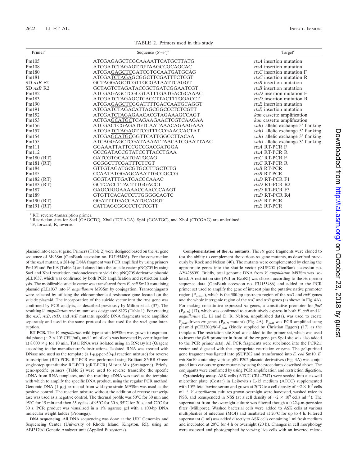| TABLE 2. Primers used in this study |  |  |  |
|-------------------------------------|--|--|--|
|-------------------------------------|--|--|--|

| Primer <sup>a</sup> | Sequence $(5'–3')^b$               | Target $^c$                       |
|---------------------|------------------------------------|-----------------------------------|
| Pm105               | ATCGAGAGCTCGCAAAATTCATGCTTATG      | rtxA insertion mutation           |
| Pm108               | ATCGATCTAGAGTTGTAAGCCGCAGCAC       | $rtxA$ insertion mutation         |
| Pm180               | ATCGAGAGCTCGATCGTGCAATGATGCAG      | $rtxC$ insertion mutation F       |
| Pm181               | ATCGATCTAGAGCGGCTTCGATTTCTCGT      | rtxC insertion mutation R         |
| $SD$ rtxB $F2$      | GCTAGGAGCTCGTTGCGATAATTCAGGT       | $rtxB$ insertion mutation         |
| $SD$ rtxB R2        | GCTAGTCTAGATACCGCTGATCGGAATCGT     | $rtxB$ insertion mutation         |
| Pm182               | ATCGAGAGCTCGCGTATTTGATGACGCAAAC    | $rtxD$ insertion mutation F       |
| Pm183               | ATCGATCTAGAGCTCACCTTACTTTGGACCT    | $rtxD$ insertion mutation R       |
| Pm190               | ATCGAGAGCTCGGATTTTGACCAATGCAGGT    | $rtxE$ insertion mutation         |
| Pm191               | ATCGATCTAGACATTAGCGGCCCTCTCGTT     | $rtxE$ insertion mutation         |
| Pm152               | ATCGATCTAGAGAACACGTAGAAAGCCAGT     | kan cassette amplification        |
| Pm153               | ACTGAGCATGCTCAGAAGAACTCGTCAAGAA    | kan cassette amplification        |
| Pm156               | ATCGACTCGAGATGTCAATAAACAGAAGAAA    | vah1 allelic exchange 5' flanking |
| Pm157               | ATCGATCTAGAGTTCGTTTCCGAACCACTAT    | vah1 allelic exchange 5' flanking |
| Pm154               | ATCGAGCATGCGGTTCATTGGCCTTACAA      | vah1 allelic exchange 3' flanking |
| Pm155               | ATCAGGAGCTCGATAAAATTAACATCGAATTAAC | vah1 allelic exchange 3' flanking |
| Pm111               | GGAAATTATTCCGCCGACGATGGA           | rtxA RT-PCR F                     |
| Pm112               | GCCGATACCGTATCGTTACCTGAA           | rtxA RT-PCR R                     |
| Pm180 (RT)          | <b>GATCGTGCAATGATGCAG</b>          | $rtxC$ RT-PCR F                   |
| Pm181 (RT)          | GCGGCTTCGATTTCTCGT                 | $rtxC$ RT-PCR R                   |
| Pm184               | GTTGTAGATGCGTGCCTTGCTCTG           | $rtxB$ RT-PCR                     |
| Pm185               | <b>CCAATATGGAGCAAATTGCCGCCG</b>    | rtxB RT-PCR                       |
| Pm182 (RT)          | GCGTATTTGATGACGCAAAC               | rtxD RT-PCR F1                    |
| Pm $183$ (RT)       | <b>GCTCACCTTACTTTGGACCT</b>        | $rtxD$ RT-PCR R2                  |
| Pm187               | GAGCGGGAAAAACCAACCCAAGT            | $rtxD$ RT-PCR $F3$                |
| Pm189               | GTGTTCACACCCTTGGGGCAGTC            | rtxD RT-PCR R4                    |
| Pm190 (RT)          | GGATTTTGACCAATGCAGGT               | $rtxE$ RT-PCR                     |
| Pm191 (RT)          | CATTAGCGGCCCTCTCGTT                | rtxE RT-PCR                       |

*<sup>a</sup>* RT, reverse-transcription primer.

*b* Restriction sites for SacI (GAGCTC), XbaI (TCTAGA), SphI (GCATGC), and XhoI (CTCGAG) are underlined.

*<sup>c</sup>* F, forward; R, reverse.

plasmid into each *rtx* gene. Primers (Table 2) were designed based on the *rtx* gene sequence of M93Sm (GenBank accession no. EU155486). For the construction of the *rtxA* mutant, a 281-bp DNA fragment was PCR amplified by using primers Pm105 and Pm108 (Table 2) and cloned into the suicide vector pNQ705 by using SacI and XbaI restriction endonucleases to yield the pNQ705 derivative plasmid pLL1037, which was confirmed by both PCR amplification and restriction analysis. The mobilizable suicide vector was transferred from *E. coli* Sm10 containing plasmid pLL1037 into *V. anguillarum* M93Sm by conjugation. Transconjugants were selected by utilizing the chloramphenicol resistance gene located on the suicide plasmid. The incorporation of the suicide vector into the *rtxA* gene was confirmed by PCR analysis, as described previously by Milton et al. (37). The resulting *V. anguillarum rtxA* mutant was designated S123 (Table 1). For creating the *rtxC*, *rtxB*, *rtxD*, and *rtxE* mutants, specific DNA fragments were amplified separately and used in the same protocol as that used for the *rtxA* gene interruption.

**RT-PCR.** The *V. anguillarum* wild-type strain M93Sm was grown to exponential phase ( $\sim$ 2  $\times$  10<sup>8</sup> CFU/ml), and 1 ml of cells was harvested by centrifugation at  $8,000 \times g$  for 10 min. Total RNA was isolated using an RNeasy kit (Qiagen) according to the manufacturer's instructions. Isolated RNA was treated with DNase and used as the template (a  $1-\mu g$ -per-50- $\mu$ l reaction mixture) for reverse transcription (RT)-PCR. RT-PCR was performed using Brilliant SYBR Green single-step quantitative RT-PCR (qRT-PCR) Master Mix (Stratagene). Briefly, gene-specific primers (Table 2) were used to reverse transcribe the specific cDNA from RNA templates, and the resulting cDNA was used as the template with which to amplify the specific DNA product, using the regular PCR method. Genomic DNA  $(1 \mu g)$  extracted from wild-type strain M93Sm was used as the positive control. The reaction mixture without the addition of reverse transcriptase was used as a negative control. The thermal profile was 50°C for 30 min and 95°C for 15 min and then 35 cycles of 95°C for 30 s, 55°C for 30 s, and 72°C for 30 s. PCR product was visualized in a 1% agarose gel with a 100-bp DNA molecular weight ladder (Promega).

**DNA sequencing.** All DNA sequencing was done at the URI Genomics and Sequencing Center (University of Rhode Island, Kingston, RI), using an ABI3170xl Genetic Analyzer unit (Applied Biosystems).

**Complementation of the** *rtx* **mutants.** The *rtx* gene fragments were cloned to test the ability to complement the various *rtx* gene mutants, as described previously by Rock and Nelson (40). The mutants were complemented by cloning the appropriate genes into the shuttle vector pSUP202 (GenBank accession no. AY428809). Briefly, total genomic DNA from *V. anguillarum* M93Sm was isolated. A restriction site (PstI or EcoRI) was chosen according to the *rtx* operon sequence data (GenBank accession no. EU155486) and added to the PCR primer set used to amplify the gene of interest plus the putative native promoter region ( $P_{\text{native}}$ ), which is the 500-bp upstream region of the *rtxD* and *rtxE* genes and the whole intergenic region of the *rtxC* and *rtxB* genes (as shown in Fig. 4A). For making constitutive expressed *rtx* genes, a constitutive promoter for *flaB*  $(P_{f_{q}R})$  (17), which was confirmed to constitutively express in both *E. coli* and *V*. *anguillarum* (L. Li and D. R. Nelson, unpublished data), was used to create P*flaB*-driven *rtx* genes (P*flaB* mutant) (Fig. 4A). P*flaB* was PCR amplified using plasmid pCE320(*gfp*)-P*flaB* (kindly supplied by Christian Eggers) (17) as the template. The restriction site SpeI was added to the primer set, which was used to insert the *flaB* promoter in front of the *rtx* gene (an SpeI site was also added to the PCR primer sets). All PCR fragments were subcloned into the PCR2.1 vector and digested with the appropriate restriction enzyme. The gel-purified gene fragment was ligated into pSUP202 and transformed into *E. coli* Sm10. *E. coli* Sm10 containing various pSUP202 plasmid derivatives (Fig. 4A) was conjugated into various *rtx* gene mutants by using the procedures described above. The conjugants were confirmed by using PCR amplification and restriction digestion.

**Cytotoxicity assay.** ASK cells (ATCC CRL-2747) were seeded into a six-well microtiter plate (Costar) in Leibovitz's L-15 medium (ATCC) supplemented with 10% fetal bovine serum and grown at 20°C to a cell density of  $\sim$  2  $\times$  10<sup>5</sup> cells ml<sup>-1</sup>. *V. anguillarum* cultures grown overnight were harvested, washed twice in NSS, and resuspended in NSS (at a cell density of  $\sim$ 2  $\times$  10<sup>9</sup> cells ml<sup>-1</sup>). The supernatant from the overnight culture was filtered though a 0.22-µm-pore-size filter (Millipore). Washed bacterial cells were added to ASK cells at various multiplicities of infection (MOI) and incubated at 20°C for up to 4 h. Filtered supernatant (1 ml) was added directly to ASK cells containing 1 ml fresh medium and incubated at 20°C for 4 h or overnight (20 h). Changes in cell morphology were assessed and photographed by viewing live cells with an inverted micro-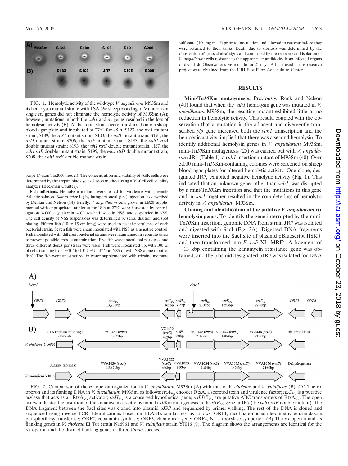

FIG. 1. Hemolytic activity of the wild-type *V. anguillarum* M93Sm and its hemolysin mutant strains with TSA-5% sheep blood agar. Mutations in single *rtx* genes did not eliminate the hemolytic activity of M93Sm (A); however, mutations in both the *vah1* and *rtx* genes resulted in the loss of hemolysin activity (B). All bacterial strains were transferred onto a sheep blood agar plate and incubated at 27°C for 48 h. S123, the *rtxA* mutant strain; S189, the *rtxC* mutant strain; S103, the *rtxB* mutant strain; S191, the *rtxD* mutant strain; S206, the *rtxE* mutant strain. S183, the *vah1 rtxA* double mutant strain; S193, the *vah1 rtxC* double mutant strain; JR7, the *vah1 rtxB* double mutant strain; S195, the *vah1 rtxD* double mutant strain; S208, the *vah1 rtxE* double mutant strain.

scope (Nikon TE2000 model). The concentration and viability of ASK cells were determined by the trypan blue dye exclusion method using a Vi-Cell cell viability analyzer (Beckman Coulter).

**Fish infections.** Hemolysin mutants were tested for virulence with juvenile Atlantic salmon (*Salmo salar* L.) by intraperitoneal (i.p.) injection, as described by Denkin and Nelson (14). Briefly, *V. anguillarum* cells grown in LB20 supplemented with appropriate antibiotics for 18 h at 27°C were harvested by centrifugation  $(8,000 \times g, 10 \text{ min}, 4^{\circ}\text{C})$ , washed twice in NSS, and suspended in NSS. The cell density of NSS suspensions was determined by serial dilution and spot plating. Fifteen fish (10 to 15 cm long) were used to test the virulence of each bacterial strain. Seven fish were sham inoculated with NSS as a negative control. Fish inoculated with different bacterial strains were maintained in separate tanks to prevent possible cross-contamination. Five fish were inoculated per dose, and three different doses per strain were used. Fish were inoculated i.p. with 100  $\mu$ l of cells (ranging from  $\sim$  10<sup>5</sup> to 10<sup>7</sup> CFU ml<sup>-1</sup>) in NSS or with NSS alone (control fish). The fish were anesthetized in water supplemented with tricaine methane

sulfonate  $(100 \text{ mg ml}^{-1})$  prior to inoculation and allowed to recover before they were returned to their tanks. Death due to vibriosis was determined by the observation of gross clinical signs and confirmed by the recovery and isolation of *V. anguillarum* cells resistant to the appropriate antibiotics from infected organs of dead fish. Observations were made for 21 days. All fish used in this research project were obtained from the URI East Farm Aquaculture Center.

#### **RESULTS**

**Mini-Tn***10***Km mutagenesis.** Previously, Rock and Nelson (40) found that when the *vah1* hemolysin gene was mutated in *V. anguillarum* M93Sm, the resulting mutant exhibited little or no reduction in hemolytic activity. This result, coupled with the observation that a mutation in the adjacent and divergently transcribed *plp* gene increased both the *vah1* transcription and the hemolytic activity, implied that there was a second hemolysin. To identify additional hemolysin genes in *V. anguillarum* M93Sm, mini-Tn*10*Km mutagenesis (25) was carried out with *V. anguillarum* JR1 (Table 1), a *vah1* insertion mutant of M93Sm (40). Over 3,000 mini-Tn*10*Km-containing colonies were screened on sheep blood agar plates for altered hemolytic activity. One clone, designated JR7, exhibited negative hemolytic activity (Fig. 1). This indicated that an unknown gene, other than *vah1*, was disrupted by a mini-Tn*10*Km insertion and that the mutations in this gene and in *vah1* together resulted in the complete loss of hemolytic activity in *V. anguillarum* M93Sm.

**Cloning and identification of the putative** *V. anguillarum rtx* **hemolysin genes.** To identify the gene interrupted by the mini-Tn*10*Km insertion, genomic DNA from strain JR7 was isolated and digested with SacI (Fig. 2A). Digested DNA fragments were inserted into the SacI site of plasmid pBluescript IISK and then transformed into *E. coli* XL1MRF. A fragment of  $\sim$ 13 kbp containing the kanamycin resistance gene was obtained, and the plasmid designated pJR7 was isolated for DNA



FIG. 2. Comparison of the *rtx* operon organization in *V. anguillarum* M93Sm (A) with that of *V. cholerae* and *V. vulnificus* (B). (A) The *rtx* operon and its flanking DNA in *V. anguillarum* M93Sm, as follows: *rtxA*<sub>Va</sub> encodes RtxA, a secreted toxin and virulence factor; *rtxC*<sub>Va</sub> is a putative acylase that acts as an RtxA<sub>Va</sub> activator;  $\frac{rxH_{Va}}{x}$  is a conserved hypothetical gene;  $\frac{rxBDE_{Va}}{x}$  are putative ABC transporters of RtxA<sub>Va</sub>. The open arrow indicates the insertion of the kanamycin cassette by mini-Tn*10*Km mutagenesis in the *rtxB*<sub>Va</sub> gene in JR7 (the *vah1 rtxB* double mutant). The DNA fragment between the SacI sites was cloned into plasmid pJR7 and sequenced by primer walking. The rest of the DNA is cloned and sequenced using inverse PCR. Identifications based on BLASTx similarities, as follows: ORF1, nicotinate-nucleotide-dimethylbenzimidazole phosphoribosyltransferase; ORF2, cobalamin synthase; ORF3, chemotaxis gene; ORF4, Na-carboxylase symporter. (B) The *rtx* operon and its flanking genes in *V. cholerae* El Tor strain N16961 and *V. vulnificus* strain YJ016 (9). The diagram shows the arrangements are identical for the *rtx* operon and the distinct flanking genes of three *Vibrio* species.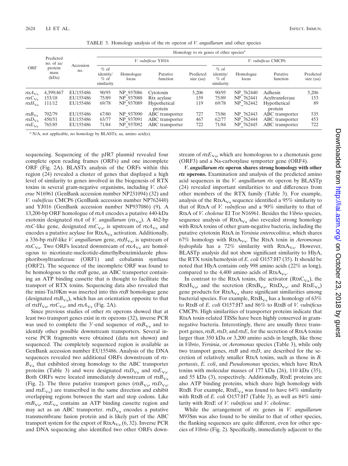|                                                         |                            |                                  | Homology to rtx genes of other species <sup><math>a</math></sup> |                                     |                                                       |                        |                                             |                                     |                                                       |                        |
|---------------------------------------------------------|----------------------------|----------------------------------|------------------------------------------------------------------|-------------------------------------|-------------------------------------------------------|------------------------|---------------------------------------------|-------------------------------------|-------------------------------------------------------|------------------------|
|                                                         | Predicted<br>no. of aa/    |                                  |                                                                  | V. vulnificus YJ016                 |                                                       |                        | V. vulnificus CMCP6                         |                                     |                                                       |                        |
| ORF                                                     | protein<br>mass<br>(kDa)   | Accession<br>no.                 | $%$ of<br>identity/<br>$%$ of<br>similarity                      | Homologue<br>locus                  | Putative<br>function                                  | Predicted<br>size (aa) | $%$ of<br>identity/<br>$%$ of<br>similarity | Homologue<br>locus                  | Putative<br>function                                  | Predicted<br>size (aa) |
| rtx $A_{\rm Va}$                                        | 4,399/467                  | EU155486                         | 90/95                                                            | NP 937086                           | Cytotoxin                                             | 5.206                  | 90/95                                       | NP 762440                           | Adhesin                                               | 5,206                  |
| $rtxC_{\rm Va}$                                         | 153/18                     | EU155486                         | 75/89                                                            | NP 937088                           | Rtx acylase                                           | 159                    | 75/89                                       | NP 762441                           | Acyltransferase                                       | 153                    |
| rtx $H_{\rm Va}$                                        | 111/12                     | EU155486                         | 69/78                                                            | NP 937089                           | Hypothetical<br>protein                               | 119                    | 69/78                                       | NP 762442                           | Hypothetical<br>protein                               | 89                     |
| rtx $B_{\rm Va}$<br>$rtxD_{\rm Va}$<br>rtx $E_{\rm Va}$ | 702/79<br>450/51<br>765/85 | EU155486<br>EU155486<br>EU155486 | 67/80<br>63/77<br>71/84                                          | NP 937090<br>NP 937091<br>NP 937092 | ABC transporter<br>ABC transporter<br>ABC transporter | 727<br>467<br>722      | 73/86<br>62/77<br>71/84                     | NP 762443<br>NP 762444<br>NP 762445 | ABC transporter<br>ABC transporter<br>ABC transporter | 535<br>453<br>722      |

TABLE 3. Homology analysis of the *rtx* operon of *V. anguillarum* and other species

*<sup>a</sup>* N/A, not applicable, no homology by BLASTx; aa, amino acid(s).

sequencing. Sequencing of the pJR7 plasmid revealed four complete open reading frames (ORFs) and one incomplete ORF (Fig. 2A). BLASTx analysis of the ORFs within this region (24) revealed a cluster of genes that displayed a high level of similarity to genes involved in the biogenesis of RTX toxins in several gram-negative organisms, including *V. cholerae* N16961 (GenBank accession number NP231094) (32) and *V. vulnificus* CMCP6 (GenBank accession number NP762440) and YJ016 (GenBank accession number NP937086) (9). A 13,200-bp ORF homologue of *rtxA* encodes a putative 440-kDa exotoxin designated *rtxA* of *V. anguillarum* ( $rtx<sub>Va</sub>$ ). A 462-bp *rtxC*-like gene, designated *rtxC*<sub>Va</sub>, is upstream of *rtxA*<sub>Va</sub> and encodes a putative acylase for  $RtxA<sub>Va</sub>$  activation. Additionally, a 336-bp *rtxH*-like *V. anguillarum* gene, *rtxH*<sub>Va</sub>, is upstream of *rtxC*<sub>Va</sub>. Two ORFs located downstream of *rtxA*<sub>Va</sub> are homologous to nicotinate-nucleotide-dimethylbenzimidazole phosphoribosyltransferase (ORF1) and cobalamin synthase (ORF2). The sequence of the incomplete ORF was found to be homologous to the *rtxB* gene, an ABC transporter containing an ATP binding cassette that is thought to facilitate the transport of RTX toxins. Sequencing data also revealed that the mini-Tn*10*Km was inserted into this *rtxB* homologue gene (designated  $rtxB_{\text{Va}}$ ), which has an orientation opposite to that of *rtxH*<sub>Va</sub>, *rtxC*<sub>Va</sub>, and *rtxA*<sub>Va</sub> (Fig. 2A).

Since previous studies of other *rtx* operons showed that at least two transport genes exist in *rtx* operons (32), inverse PCR was used to complete the 3'-end sequence of  $rtxB<sub>Va</sub>$  and to identify other possible downstream transporters. Several inverse PCR fragments were obtained (data not shown) and sequenced. The completely sequenced region is available as GenBank accession number EU155486. Analysis of the DNA sequences revealed two additional ORFs downstream of *rtx-* $B_{\text{Va}}$  that exhibited strong homology to the ABC transporter proteins (Table 3) and were designated  $rtxD_{Va}$  and  $rtxE_{Va}$ . Both ORFs were located immediately downstream of  $rtxB_{Va}$ (Fig. 2). The three putative transport genes ( $rtxB_{Va}$ ,  $rtxD_{Va}$ , and  $rtxE_{Va}$ ) are transcribed in the same direction and exhibit overlapping regions between the start and stop codons. Like  $rtxB<sub>Va</sub>$ ,  $rtxE<sub>Va</sub>$  contains an ATP binding cassette region and may act as an ABC transporter.  $rtxD<sub>Va</sub>$  encodes a putative transmembrane fusion protein and is likely part of the ABC transport system for the export of  $RtxA<sub>Va</sub>$  (6, 32). Inverse PCR and DNA sequencing also identified two other ORFs downstream of  $rtxE_{Va}$ , which are homologous to a chemotaxis gene (ORF3) and a Na-carboxylase symporter gene (ORF4).

*V. anguillarum rtx* **operon shares strong homology with other** *rtx* **operons.** Examination and analysis of the predicted amino acid sequences in the *V. anguillarum rtx* operon by BLASTp (24) revealed important similarities to and differences from other members of the RTX family (Table 3). For example, analysis of the  $RtxA<sub>Va</sub>$  sequence identified a 95% similarity to that of RtxA of *V. vulnificus* and a 90% similarity to that of RtxA of *V. cholerae* El Tor N16961. Besides the *Vibrio* species, sequence analysis of  $RtxA<sub>Va</sub>$  also revealed strong homology with RtxA toxins of other gram-negative bacteria, including the putative cytotoxin RtxA in *Yersinia enterocolitica*, which shares 67% homology with RtxAVa. The RtxA toxin in *Aeromonas hydrophila* has a 72% similarity with  $RtxA<sub>Va</sub>$ . However, BLASTp analysis did not show significant similarity to HlyA, the RTX toxin/hemolysin of *E. coli* O157:H7 (35). It should be noted that HlyA contains only 998 amino acids (22% as long), compared to the 4,400 amino acids of  $RtxA<sub>Va</sub>$ .

In contrast to the RtxA toxins, the activator ( $RtxC<sub>Va</sub>$ ), the  $RtxH<sub>Va</sub>$ , and the secretion ( $RtxB<sub>Va</sub>$ ,  $RtxD<sub>Va</sub>$ , and  $RtxE<sub>Va</sub>$ ) gene products for  $RtxA<sub>Va</sub>$  share significant similarities among bacterial species. For example,  $RtxB<sub>Va</sub>$  has a homology of 63% to RtxB of *E. coli* O157:H7 and 86% to RtxB of *V. vulnificus* CMCP6. High similarities of transporter proteins indicate that RtxA toxin-related TISSs have been highly conserved in gramnegative bacteria. Interestingly, there are usually three transport genes, *rtxB*, *rtxD*, and *rtxE*, for the secretion of RtxA toxins larger than 350 kDa or 3,200 amino acids in length, like those in *Vibrio*, *Yersinia*, or *Aeromonas* species (Table 3), while only two transport genes, *rtxB* and *rtxD*, are described for the secretion of relatively smaller RtxA toxins, such as those in *B. pertussis*, *E. coli*, and *Pseudomonas* species, which have RtxA toxins with molecular masses of 177 kDa (26), 110 kDa (35), and 55 kDa (3), respectively. Additionally, RtxE proteins are also ATP binding proteins, which share high homology with RtxB. For example,  $RtxE_{Va}$  was found to have 64% similarity with RtxB of *E. coli* O157:H7 (Table 3), as well as 84% similarity with RtxE of *V. vulnificus* and *V. cholerae*.

While the arrangement of *rtx* genes in *V. anguillarum* M93Sm was also found to be similar to that of other species, the flanking sequences are quite different, even for other species of *Vibrio* (Fig. 2). Specifically, immediately adjacent to the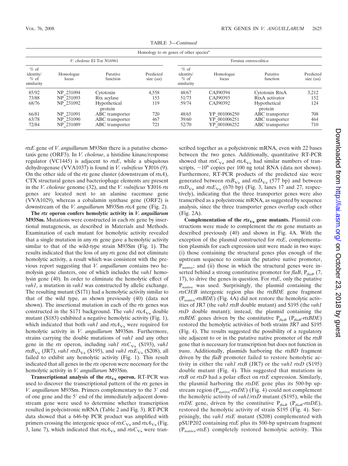|                                             | Homology to rtx genes of other species <sup><i>a</i></sup> |                           |                        |                                             |                    |                         |                        |  |
|---------------------------------------------|------------------------------------------------------------|---------------------------|------------------------|---------------------------------------------|--------------------|-------------------------|------------------------|--|
|                                             |                                                            | V. cholerae El Tor N16961 |                        |                                             |                    | Yersinia enterocolitica |                        |  |
| $%$ of<br>identity/<br>$%$ of<br>similarity | Homologue<br>locus                                         | Putative<br>function      | Predicted<br>size (aa) | $%$ of<br>identity/<br>$%$ of<br>similarity | Homologue<br>locus | Putative<br>function    | Predicted<br>size (aa) |  |
| 85/92                                       | NP 231094                                                  | Cytotoxin                 | 4,558                  | 48/67                                       | CAJ90394           | Cytotoxin RtxA          | 3,212                  |  |
| 73/88                                       | NP 231093                                                  | Rtx acylase               | 153                    | 51/73                                       | CAJ90393           | RtxA activator          | 152                    |  |
| 68/76                                       | NP 231092                                                  | Hypothetical<br>protein   | 119                    | 59/74                                       | CAJ90392           | Hypothetical<br>protein | 124                    |  |
| 66/81                                       | NP 231091                                                  | ABC transporter           | 720                    | 48/65                                       | YP 001006250       | ABC transporter         | 708                    |  |
| 63/78                                       | NP 231090                                                  | ABC transporter           | 467                    | 39/60                                       | YP 001006251       | ABC transporter         | 464                    |  |
| 72/84                                       | NP 231089                                                  | ABC transporter           | 721                    | 52/70                                       | YP 001006252       | ABC transporter         | 710                    |  |

TABLE 3—*Continued*

*rtxE* gene of *V*. *anguillarum* M93Sm there is a putative chemotaxis gene (ORF3). In *V. cholerae*, a histidine kinase/response regulator (VC1445) is adjacent to *rtxE*, while a ubiquitous dehydrogenase (VVA1037) is found in *V. vulnificus* YJ016 (9). On the other side of the *rtx* gene cluster (downstream of *rtxA*), CTX structural genes and bacteriophage elements are present in the *V. cholerae* genome (32), and the *V. vulnificus* YJ016 *rtx* genes are located next to an alanine racemase gene (VVA1029), whereas a cobalamin synthase gene (ORF2) is downstream of the *V. anguillarum* M93Sm *rtxA* gene (Fig. 2).

**The** *rtx* **operon confers hemolytic activity in** *V. anguillarum* **M93Sm.** Mutations were constructed in each *rtx* gene by insertional mutagenesis, as described in Materials and Methods. Examination of each mutant for hemolytic activity revealed that a single mutation in any *rtx* gene gave a hemolytic activity similar to that of the wild-type strain M93Sm (Fig. 1). The results indicated that the loss of any *rtx* gene did not eliminate hemolytic activity, a result which was consistent with the previous report suggesting that *V. anguillarum* contains two hemolysin gene clusters, one of which includes the *vah1* hemolysin gene (40). In order to eliminate the hemolytic effect of *vah1*, a mutation in *vah1* was constructed by allelic exchange. The resulting mutant (S171) had a hemolytic activity similar to that of the wild type, as shown previously (40) (data not shown). The insertional mutation in each of the *rtx* genes was constructed in the S171 background. The *vah1 rtxA*<sub>Va</sub> double mutant (S183) exhibited a negative hemolytic activity (Fig. 1), which indicated that both *vah1* and  $r\alpha A_{Va}$  were required for hemolytic activity in *V. anguillarum* M93Sm. Furthermore, strains carrying the double mutations of *vah1* and any other gene in the *rtx* operon, including *vah1 rtxC*<sub>Va</sub> (S193), *vah1 rtxB*<sub>Va</sub> (JR7), *vah1 rtxD*<sub>Va</sub> (S195), and *vah1 rtxE*<sub>Va</sub> (S208), all failed to exhibit any hemolytic activity (Fig. 1). This result indicated that all genes in the *rtx* operon were necessary for the hemolytic activity in *V. anguillarum* M93Sm.

**Transcriptional analysis of the**  $rtx_v$  **operon.** RT-PCR was used to discover the transcriptional pattern of the *rtx* genes in *V. anguillarum* M93Sm. Primers complementary to the 3' end of one gene and the 5' end of the immediately adjacent downstream gene were used to determine whether transcription resulted in polycistronic mRNA (Table 2 and Fig. 3). RT-PCR data showed that a 646-bp PCR product was amplified with primers crossing the intergenic space of  $\text{tr}xC_{\text{Va}}$  and  $\text{tr}xA_{\text{Va}}$  (Fig. 3, lane 7), which indicated that  $rtxA_{Va}$  and  $rtxC_{Va}$  were transcribed together as a polycistronic mRNA, even with 22 bases between the two genes. Additionally, quantitative RT-PCR showed that  $\mathit{rtxC}_{\mathbf{V}a}$  and  $\mathit{rtxA}_{\mathbf{V}a}$  had similar numbers of transcripts,  $\sim 10^6$  copies per 100 ng total RNA (data not shown). Furthermore, RT-PCR products of the predicted size were generated between  $rtxB_{Va}$  and  $rtxD_{Va}$  (577 bp) and between *rtxD*<sub>Va</sub> and *rtxE*<sub>Va</sub> (670 bp) (Fig. 3, lanes 17 and 27, respectively), indicating that the three transporter genes were also transcribed as a polycistronic mRNA, as suggested by sequence analysis, since the three transporter genes overlap each other (Fig. 2A).

**Complementation of the**  $rtx_{\text{Va}}$  **gene mutants.** Plasmid constructions were made to complement the *rtx* gene mutants as described previously (40) and shown in Fig. 4A. With the exception of the plasmid constructed for *rtxE*, complementation plasmids for each expression unit were made in two ways: (i) those containing the structural genes plus enough of the upstream sequence to contain the putative native promoter,  $P<sub>native</sub>$ ; and (ii) those in which the structural genes were inserted behind a strong constitutive promoter for  $f/aB$ ,  $P_{f/aB}$  (7, 17), to drive the genes in question. For *rtxE*, only the putative Pnative was used. Surprisingly, the plasmid containing the *rtxCH/B* intergenic region plus the *rtxBDE* gene fragment (Pnative-*rtxBDE*) (Fig. 4A) did not restore the hemolytic activities of JR7 (the *vah1 rtxB* double mutant) and S195 (the *vah1 rtxD* double mutant); instead, the plasmid containing the *rtxBDE* genes driven by the constitutive  $P_{\text{flaB}}$  ( $P_{\text{flaB}}$ -*rtxBDE*) restored the hemolytic activities of both strains JR7 and S195 (Fig. 4). The results suggested the possibility of a regulatory site adjacent to or in the putative native promoter of the *rtxB* gene that is necessary for transcription but does not function in *trans*. Additionally, plasmids harboring the *rtxBD* fragment driven by the *flaB* promoter failed to restore hemolytic activity in either the *vah1 rtxB* (JR7) or the *vah1 rtxD* (S195) double mutant (Fig. 4). This suggested that mutations in *rtxB* or *rtxD* had a polar effect on *rtxE* expression. Similarly, the plasmid harboring the *rtxDE* gene plus its 500-bp upstream region  $(P_{\text{native}}\text{-}rtxDE)$  (Fig. 4) could not complement the hemolytic activity of *vah1/rtxD* mutant (S195), while the *rtxDE* gene, driven by the constitutive  $P_{\text{flaB}}$  ( $P_{\text{flaB}}$ -*rtxDE*), restored the hemolytic activity of strain S195 (Fig. 4). Surprisingly, the *vah1 rtxE* mutant (S208) complemented with pSUP202 containing *rtxE* plus its 500-bp upstream fragment (Pnative-*rtxE*) completely restored hemolytic activity. This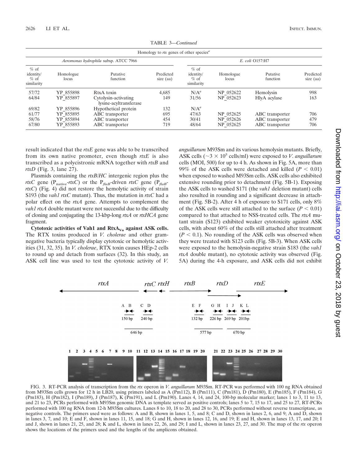|                                             |                    |                                                | Homology to rtx genes of other species <sup><math>a</math></sup> |                                             |                    |                      |                        |
|---------------------------------------------|--------------------|------------------------------------------------|------------------------------------------------------------------|---------------------------------------------|--------------------|----------------------|------------------------|
|                                             |                    | Aeromonas hydrophila subsp. ATCC 7966          |                                                                  |                                             | E. coli O157:H7    |                      |                        |
| $%$ of<br>identity/<br>$%$ of<br>similarity | Homologue<br>locus | Putative<br>function                           | Predicted<br>size (aa)                                           | $%$ of<br>identity/<br>$%$ of<br>similarity | Homologue<br>locus | Putative<br>function | Predicted<br>size (aa) |
| 57/72                                       | YP 855898          | RtxA toxin                                     | 4.685                                                            | $N/A^a$                                     | NP 052622          | Hemolysin            | 998                    |
| 64/84                                       | YP 855897          | Cytolysin-activating<br>lysine-acyltransferase | 149                                                              | 31/56                                       | NP 052623          | HlyA acylase         | 163                    |
| 69/82                                       | YP 855896          | Hypothetical protein                           | 132                                                              | $N/A^a$                                     |                    |                      |                        |
| 61/77                                       | YP 855895          | ABC transporter                                | 695                                                              | 47/63                                       | NP 052625          | ABC transporter      | 706                    |
| 58/76                                       | YP 855894          | ABC transporter                                | 454                                                              | 30/41                                       | NP 052626          | ABC transporter      | 479                    |
| 67/80                                       | YP 855893          | ABC transporter                                | 719                                                              | 48/64                                       | NP 052625          | ABC transporter      | 706                    |

TABLE 3—*Continued*

result indicated that the *rtxE* gene was able to be transcribed from its own native promoter, even though *rtxE* is also transcribed as a polycistronic mRNA together with *rtxB* and *rtxD* (Fig. 3, lane 27).

Plasmids containing the *rtxB/HC* intergenic region plus the *rtxC* gene ( $P_{\text{native}}$ *-rtxC*) or the  $P_{\text{flag}}$ -driven *rtxC* gene ( $P_{\text{flag}}$ *rtxC*) (Fig. 4) did not restore the hemolytic activity of strain S193 (the *vah1 rtxC* mutant). Thus, the mutation in *rtxC* had a polar effect on the *rtxA* gene. Attempts to complement the *vah1 rtxA* double mutant were not successful due to the difficulty of cloning and conjugating the 13-kbp-long *rtxA* or *rtxHCA* gene fragment.

Cytotoxic activities of Vah1 and RtxA<sub>Va</sub> against ASK cells. The RTX toxins produced in *V. cholerae* and other gramnegative bacteria typically display cytotoxic or hemolytic activities (31, 32, 35). In *V. cholerae*, RTX toxin causes HEp-2 cells to round up and detach from surfaces (32). In this study, an ASK cell line was used to test the cytotoxic activity of *V.*

*anguillarum* M93Sm and its various hemolysin mutants. Briefly, ASK cells ( $\sim$ 3  $\times$  10<sup>5</sup> cells/ml) were exposed to *V*. *anguillarum* cells (MOI, 500) for up to 4 h. As shown in Fig. 5A, more than 99% of the ASK cells were detached and killed  $(P < 0.01)$ when exposed to washed M93Sm cells. ASK cells also exhibited extensive rounding prior to detachment (Fig. 5B-1). Exposing the ASK cells to washed S171 (the *vah1* deletion mutant) cells also resulted in rounding and a significant decrease in attachment (Fig. 5B-2). After 4 h of exposure to S171 cells, only 8% of the ASK cells were still attached to the surface  $(P < 0.01)$ compared to that attached to NSS-treated cells. The *rtxA* mutant strain (S123) exhibited weaker cytotoxicity against ASK cells, with about 60% of the cells still attached after treatment  $(P < 0.1)$ . No rounding of the ASK cells was observed when they were treated with S123 cells (Fig. 5B-3). When ASK cells were exposed to the hemolysin-negative strain S183 (the *vah1 rtxA* double mutant), no cytotoxic activity was observed (Fig. 5A) during the 4-h exposure, and ASK cells did not exhibit



FIG. 3. RT-PCR analysis of transcription from the *rtx* operon in *V. anguillarum* M93Sm. RT-PCR was performed with 100 ng RNA obtained from M93Sm cells grown for 12 h in LB20, using primers labeled as A (Pm112), B (Pm111), C (Pm181), D (Pm180), E (Pm185), F (Pm184), G (Pm183), H (Pm182), I (Pm189), J (Pm187), K (Pm191), and L (Pm190). Lanes 4, 14, and 24, 100-bp molecular marker; lanes 1 to 3, 11 to 13, and 21 to 23, PCRs performed with M93Sm genomic DNA as template served as positive controls; lanes 5 to 7, 15 to 17, and 25 to 27, RT-PCRs performed with 100 ng RNA from 12-h M93Sm cultures. Lanes 8 to 10, 18 to 20, and 28 to 30, PCRs performed without reverse transcriptase, as negative controls. The primers used were as follows: A and B, shown in lanes 1, 5, and 8; C and D, shown in lanes 2, 6, and 9; A and D, shown in lanes 3, 7, and 10; E and F, shown in lanes 11, 15, and 18; G and H, shown in lanes 12, 16, and 19; E and H, shown in lanes 13, 17, and 20; I and J, shown in lanes 21, 25, and 28; K and L, shown in lanes 22, 26, and 29; I and L, shown in lanes 23, 27, and 30. The map of the *rtx* operon shows the locations of the primers used and the lengths of the amplicons obtained.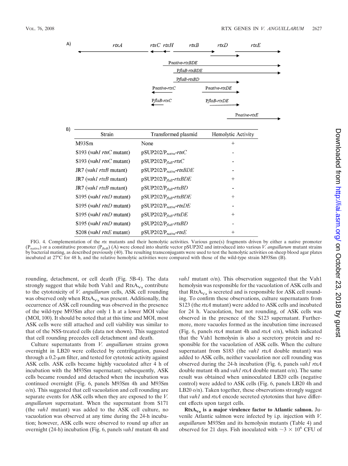| A) | rtxA                             | rtxC rtxH<br>rtxB                      | rtxD               | rtxE |
|----|----------------------------------|----------------------------------------|--------------------|------|
|    |                                  | Pnative-rtxBDE                         |                    |      |
|    |                                  | PflaB-rtxBDE                           |                    |      |
|    |                                  | PflaB-rtxBD                            |                    |      |
|    |                                  | Pnative-rtxC                           | Pnative-rtxDE      |      |
|    |                                  | PflaB-rtxC                             | PflaB-rtxDE        |      |
|    |                                  |                                        | Pnative-rtxE       |      |
| B) |                                  |                                        |                    |      |
|    | Strain                           | Transformed plasmid                    | Hemolytic Activity |      |
|    | M93Sm                            | None                                   | $^{+}$             |      |
|    | S193 ( <i>vah1 rtxC</i> mutant)  | $pSUP202/P_{native}\text{-}rtxC$       |                    |      |
|    | S193 (vah1 rtxC mutant)          | $pSUP202/P_{\text{flag}}-rtxC$         |                    |      |
|    | JR7 (vah1 rtxB mutant)           | $p$ SUP202/P <sub>native</sub> -rtxBDE |                    |      |
|    | JR7 (vah1 rtxB mutant)           | $p$ SUP202/P <sub>flaB</sub> -rtxBDE   | $^{+}$             |      |
|    | $JR7$ ( <i>vah1 rtxB</i> mutant) | $p$ SUP202/P <sub>flaB</sub> -rtxBD    |                    |      |
|    | S195 (vah1 rtxD mutant)          | $p$ SUP202/P <sub>flaB</sub> -rtxBDE   | $^{+}$             |      |
|    | S195 (vah1 rtxD mutant)          | $p$ SUP202/P <sub>native</sub> -rtxDE  |                    |      |
|    | S195 ( <i>vah1 rtxD</i> mutant)  | $p$ SUP202/P <sub>flaB</sub> -rtxDE    | $^{+}$             |      |
|    | S195 (vah1 rtxD mutant)          | $p$ SUP202/P <sub>flaB</sub> -rtxBD    |                    |      |
|    | S208 (vah1 rtxE mutant)          | $p$ SUP202/P <sub>native</sub> -rtxE   | $^{+}$             |      |

FIG. 4. Complementation of the *rtx* mutants and their hemolytic activities. Various gene(s) fragments driven by either a native promoter (Pnative) or a constitutive promoter (P*flaB*) (A) were cloned into shuttle vector pSUP202 and introduced into various *V. anguillarum* mutant strains by bacterial mating, as described previously (40). The resulting transconjugants were used to test the hemolytic activities on sheep blood agar plates incubated at 27°C for 48 h, and the relative hemolytic activities were compared with those of the wild-type strain M93Sm (B).

rounding, detachment, or cell death (Fig. 5B-4). The data strongly suggest that while both Vah1 and  $RtxA<sub>Va</sub>$  contribute to the cytotoxicity of *V. anguillarum* cells, ASK cell rounding was observed only when  $RtxA<sub>Va</sub>$  was present. Additionally, the occurrence of ASK cell rounding was observed in the presence of the wild-type M93Sm after only 1 h at a lower MOI value (MOI, 100). It should be noted that at this time and MOI, most ASK cells were still attached and cell viability was similar to that of the NSS-treated cells (data not shown). This suggested that cell rounding precedes cell detachment and death.

Culture supernatants from *V. anguillarum* strains grown overnight in LB20 were collected by centrifugation, passed through a  $0.2$ - $\mu$ m filter, and tested for cytotoxic activity against ASK cells. ASK cells became highly vacuolated after 4 h of incubation with the M93Sm supernatant; subsequently, ASK cells became rounded and detached when the incubation was continued overnight (Fig. 6, panels M93Sm 4h and M93Sm o/n). This suggested that cell vacuolation and cell rounding are separate events for ASK cells when they are exposed to the *V. anguillarum* supernatant. When the supernatant from S171 (the *vah1* mutant) was added to the ASK cell culture, no vacuolation was observed at any time during the 24-h incubation; however, ASK cells were observed to round up after an overnight (24-h) incubation (Fig. 6, panels *vah1* mutant 4h and

*vah1* mutant o/n). This observation suggested that the Vah1 hemolysin was responsible for the vacuolation of ASK cells and that  $RtxA<sub>Va</sub>$  is secreted and is responsible for ASK cell rounding. To confirm these observations, culture supernatants from S123 (the *rtxA* mutant) were added to ASK cells and incubated for 24 h. Vacuolation, but not rounding, of ASK cells was observed in the presence of the S123 supernatant. Furthermore, more vacuoles formed as the incubation time increased (Fig. 6, panels *rtxA* mutant 4h and *rtxA* o/n), which indicated that the Vah1 hemolysin is also a secretory protein and responsible for the vacuolation of ASK cells. When the culture supernatant from S183 (the *vah1 rtxA* double mutant) was added to ASK cells, neither vacuolation nor cell rounding was observed during the 24-h incubation (Fig. 6, panels *vah1 rtxA* double mutant 4h and *vah1 rtxA* double mutant o/n). The same result was obtained when uninoculated LB20 cells (negative control) were added to ASK cells (Fig. 6, panels LB20 4h and LB20 o/n). Taken together, these observations strongly suggest that *vah1* and *rtxA* encode secreted cytotoxins that have different effects upon target cells.

 $RtxA<sub>Va</sub>$  is a major virulence factor to Atlantic salmon. Juvenile Atlantic salmon were infected by i.p. injection with *V. anguillarum* M93Sm and its hemolysin mutants (Table 4) and observed for 21 days. Fish inoculated with  $\sim$ 3  $\times$  10<sup>6</sup> CFU of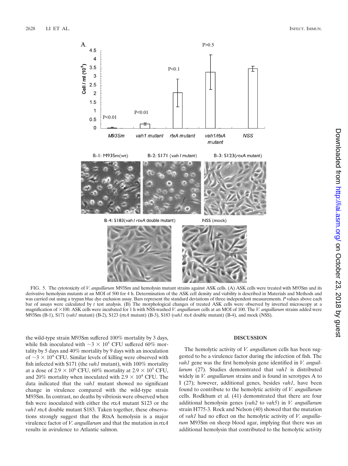

FIG. 5. The cytotoxicity of *V. anguillarum* M93Sm and hemolysin mutant strains against ASK cells. (A) ASK cells were treated with M93Sm and its derivative hemolysin mutants at an MOI of 500 for 4 h. Determination of the ASK cell density and viability is described in Materials and Methods and was carried out using a trypan blue dye exclusion assay. Bars represent the standard deviations of three independent measurements. *P* values above each bar of assays were calculated by *t* test analysis. (B) The morphological changes of treated ASK cells were observed by inverted microscopy at a magnification of  $\times$ 100. ASK cells were incubated for 1 h with NSS-washed *V. anguillarum* cells at an MOI of 100. The *V. anguillarum* strains added were M93Sm (B-1), S171 (*vah1* mutant) (B-2), S123 (*rtxA* mutant) (B-3), S183 (*vah1 rtxA* double mutant) (B-4), and mock (NSS).

the wild-type strain M93Sm suffered 100% mortality by 3 days, while fish inoculated with  $\sim$ 3  $\times$  10<sup>5</sup> CFU suffered 60% mortality by 5 days and 40% mortality by 9 days with an inoculation of  $\sim$ 3  $\times$  10<sup>4</sup> CFU. Similar levels of killing were observed with fish infected with S171 (the *vah1* mutant), with 100% mortality at a dose of 2.9  $\times$  10<sup>6</sup> CFU, 60% mortality at 2.9  $\times$  10<sup>5</sup> CFU, and 20% mortality when inoculated with  $2.9 \times 10^4$  CFU. The data indicated that the *vah1* mutant showed no significant change in virulence compared with the wild-type strain M93Sm. In contrast, no deaths by vibriosis were observed when fish were inoculated with either the *rtxA* mutant S123 or the *vah1 rtxA* double mutant S183. Taken together, these observations strongly suggest that the RtxA hemolysin is a major virulence factor of *V. anguillarum* and that the mutation in *rtxA* results in avirulence to Atlantic salmon.

#### **DISCUSSION**

The hemolytic activity of *V. anguillarum* cells has been suggested to be a virulence factor during the infection of fish. The *vah1* gene was the first hemolysin gene identified in *V. anguillarum* (27). Studies demonstrated that *vah1* is distributed widely in *V. anguillarum* strains and is found in serotypes A to I (27); however, additional genes, besides *vah1*, have been found to contribute to the hemolytic activity of *V. anguillarum* cells. Rodkhum et al. (41) demonstrated that there are four additional hemolysin genes (*vah2* to *vah5*) in *V. anguillarum* strain H775-3. Rock and Nelson (40) showed that the mutation of *vah1* had no effect on the hemolytic activity of *V. anguillarum* M93Sm on sheep blood agar, implying that there was an additional hemolysin that contributed to the hemolytic activity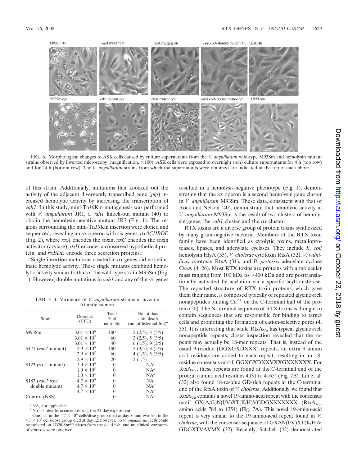

FIG. 6. Morphological changes to ASK cells caused by culture supernatants from the *V. anguillarum* wild-type M93Sm and hemolysin mutant strains observed by inverted microscopy (magnification,  $\times$ 100). ASK cells were exposed to overnight (o/n) culture supernatants for 4 h (top row) and for 24 h (bottom row). The *V. anguillarum* strains from which the supernatants were obtained are indicated at the top of each photo.

of this strain. Additionally, mutations that knocked out the activity of the adjacent divergently transcribed gene (*plp*) increased hemolytic activity by increasing the transcription of *vah1*. In this study, mini-Tn*10*Km mutagenesis was performed with *V. anguillarum* JR1, a *vah1* knock-out mutant (40) to obtain the hemolysin-negative mutant JR7 (Fig. 1). The regions surrounding the mini-Tn*10*Km insertion were cloned and sequenced, revealing an *rtx* operon with six genes, *rtxACHBDE* (Fig. 2), where *rtxA* encodes the toxin, *rtxC* encodes the toxin activator (acylase), *rtxH* encodes a conserved hypothetical protein, and *rtxBDE* encode three secretion proteins.

Single-insertion mutations created in *rtx* genes did not eliminate hemolytic activity. These single mutants exhibited hemolytic activity similar to that of the wild-type strain M93Sm (Fig. 1). However, double mutations in *vah1* and any of the *rtx* genes

TABLE 4. Virulence of *V. anguillarum* strains in juvenile Atlantic salmon

| Strain                     | Dose/fish<br>(CFU)   | Total<br>$%$ of<br>mortality | No. of days<br>until death<br>(no. of fish/total fish) <sup><i>a</i></sup> |
|----------------------------|----------------------|------------------------------|----------------------------------------------------------------------------|
| M93Sm                      | $3.01 \times 10^{6}$ | 100                          | 2(2/5), 3(5/5)                                                             |
|                            | $3.01 \times 10^{5}$ | 60                           | 3(2/5), 5(3/5)                                                             |
|                            | $3.01 \times 10^{4}$ | 40                           | 6(1/5), 9(2/5)                                                             |
| S171 ( <i>vah1</i> mutant) | $2.9 \times 10^{6}$  | 100                          | 2(3/5), 3(5/5)                                                             |
|                            | $2.9 \times 10^5$    | 60                           | 4(1/5), 5(3/5)                                                             |
|                            | $2.9 \times 10^{4}$  | 20                           | 2(1/5)                                                                     |
| $$123$ (rtxA mutant)       | $1.0 \times 10^{6}$  | $\theta$                     | $NA^b$                                                                     |
|                            | $1.0 \times 10^{5}$  | $\theta$                     | $NA^b$                                                                     |
|                            | $1.0 \times 10^{4}$  | 0                            | $NA^b$                                                                     |
| $$183$ (vah1 rtxA          | $4.7 \times 10^{6}$  | $\theta$                     | $NA^c$                                                                     |
| double mutant)             | $4.7 \times 10^{5}$  | $\theta$                     | $NA^c$                                                                     |
|                            | $4.7 \times 10^{4}$  | 0                            | $NA^b$                                                                     |
| Control (NSS)              |                      | 0                            | $NA^b$                                                                     |

*<sup>a</sup>* NA, not applicable.

*<sup>b</sup>* No fish deaths occurred during the 21-day experiment.

<sup>*c*</sup> One fish in the  $4.7 \times 10^6$  cells/dose group died at day 8, and two fish in the  $4.7 \times 10^5$  cells/dose group died at day 12; however, no *V. anguillarum* cells could be isolated on LB20-Sm<sup>200</sup> plates from the dead fish, and no clinical symptoms of vibriosis were observed.

resulted in a hemolysis-negative phenotype (Fig. 1), demonstrating that the *rtx* operon is a second hemolysin gene cluster in *V. anguillarum* M93Sm. These data, consistent with that of Rock and Nelson (40), demonstrate that hemolytic activity in *V. anguillarum* M93Sm is the result of two clusters of hemolysin genes, the *vah1* cluster and the *rtx* cluster.

RTX toxins are a diverse group of protein toxins synthesized by many gram-negative bacteria. Members of the RTX toxin family have been identified as cytolytic toxins, metalloproteases, lipases, and adenylate cyclases. They include *E. coli* hemolysin HlyA (35), *V. cholerae* cytotoxin RtxA (32), *V. vulnificus* cytotoxin RtxA (31), and *B. pertussis* adenylate cyclase CyaA (4, 26). Most RTX toxins are proteins with a molecular mass ranging from 100 kDa to  $>400$  kDa and are posttranslationally activated by acylation via a specific acyltransferase. The repeated structure of RTX toxin proteins, which gave them their name, is composed typically of repeated glycine-rich nonapeptides binding  $Ca^{2+}$  on the C-terminal half of the protein (20). The N-terminal sequence of RTX toxins is thought to contain sequences that are responsible for binding to target cells and promoting the formation of cation-selective pores (4, 35). It is interesting that while  $RtxA<sub>Va</sub>$  has typical glycine-rich nonapeptide repeats, closer inspection revealed that the repeats may actually be 18-mer repeats. That is, instead of the usual 9-residue (GGXGXDXXX) repeats, an extra 9 amino acid residues are added to each repeat, resulting in an 18 residue consensus motif, GGXGXDXXVXXGXXNXXX. For  $RtxA<sub>Va</sub>$ , these repeats are found at the C-terminal end of the protein (amino acid residues 4031 to 4165) (Fig. 7B). Lin et al. (32) also found 18-residue GD-rich repeats at the C-terminal end of the RtxA toxin of *V. cholerae*. Additionally, we found that  $RtxA<sub>Va</sub>$  contains a novel 19-amino-acid repeat with the consensus motif GX(A/G)N(I/V)XT(K/H)VGDGXXXXXXX (RtxA<sub>Va</sub>, amino acids 784 to 1354) (Fig. 7A). This novel 19-amino-acid repeat is very similar to the 19-amino-acid repeat found in *V. cholerae*, with the consensus sequence of GXAN(I/V)XT(K/H)V GDGXTVAVMX (32). Recently, Satchell (42) demonstrated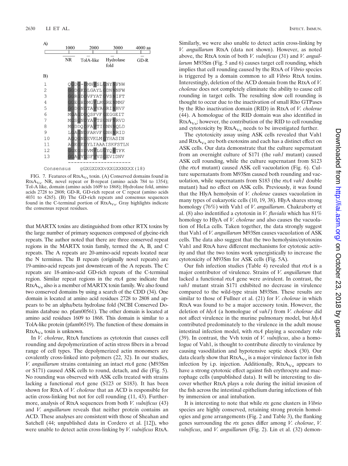

FIG. 7. Features of  $RtxA<sub>Va</sub>$  toxin. (A) Conserved domains found in RtxA<sub>Va</sub>. NR, novel repeat or B-repeat (amino acids 784 to 1354); Tol-A like, domain (amino acids 1609 to 1868); Hydrolase fold, amino acids 2728 to 2808; GD-R, GD-rich repeat or C repeat (amino acids 4031 to 4265). (B) The GD-rich repeats and consensus sequences found in the C-terminal portion of  $RtxA<sub>Va</sub>$ . Gray highlights indicate the consensus repeat residues.

that MARTX toxins are distinguished from other RTX toxins by the large number of primary sequences composed of glycine-rich repeats. The author noted that there are three conserved repeat regions in the MARTX toxin family, termed the A, B, and C repeats. The A repeats are 20-amino-acid repeats located near the N terminus. The B repeats (originally novel repeats) are 19-amino-acid repeats just downstream of the A repeats. The C repeats are 18-amino-acid GD-rich repeats of the C-terminal region. Similar repeat regions in the *rtxA* gene indicate that  $RtxA<sub>Va</sub>$  also is a member of MARTX toxin family. We also found two conserved domains by using a search of the CDD (34). One domain is located at amino acid residues 2728 to 2808 and appears to be an alpha/beta hydrolase fold (NCBI Conserved Domains database no. pfam00561). The other domain is located at amino acid residues 1609 to 1868. This domain is similar to a TolA-like protein (pfam06519). The function of these domains in  $RtxA<sub>Va</sub>$  toxin is unknown.

In *V. cholerae*, RtxA functions as cytotoxin that causes cell rounding and depolymerization of actin stress fibers in a broad range of cell types. The depolymerized actin monomers are covalently cross-linked into polymers (22, 32). In our studies, *V. anguillarum* strains containing an intact *rtxA* gene (M93Sm or S171) caused ASK cells to round, detach, and die (Fig. 5). No rounding was observed with ASK cells treated with strains lacking a functional *rtxA* gene (S123 or S183). It has been shown for RtxA of *V. cholerae* that an ACD is responsible for actin cross-linking but not for cell rounding (11, 43). Furthermore, analysis of RtxA sequences from both *V. vulnificus* (43) and *V. anguillarum* reveals that neither protein contains an ACD. These analyses are consistent with those of Sheahan and Satchell (44; unpublished data in Cordero et al. [12]), who were unable to detect actin cross-linking by *V. vulnificus* RtxA.

Similarly, we were also unable to detect actin cross-linking by *V. anguillarum* RtxA (data not shown). However, as noted above, the RtxA toxin of both *V. vulnificus* (31) and *V. anguillarum* M93Sm (Fig. 5 and 6) causes target cell rounding, which implies that cell rounding caused by the RtxA of *Vibrio* species is triggered by a domain common to all *Vibrio* RtxA toxins. Interestingly, deletion of the ACD domain from the RtxA of *V. cholerae* does not completely eliminate the ability to cause cell rounding in target cells. The resulting slow cell rounding is thought to occur due to the inactivation of small Rho GTPases by the Rho inactivation domain (RID) in RtxA of *V. cholerae* (44). A homologue of the RID domain was also identified in  $RtxA<sub>Va</sub>$ ; however, the contribution of the RID to cell rounding and cytotoxicity by  $RtxA<sub>Va</sub>$  needs to be investigated further.

The cytotoxicity assay using ASK cells revealed that Vah1 and  $RtxA<sub>Va</sub>$  are both exotoxins and each has a distinct effect on ASK cells. Our data demonstrate that the culture supernatant from an overnight culture of S171 (the *vah1* mutant) caused ASK cell rounding, while the culture supernatant from S123 (the *rtxA* mutant) caused ASK cell vacuolation (Fig. 6). Culture supernatants from M93Sm caused both rounding and vacuolation, while supernatants from S183 (the *rtxA vah1* double mutant) had no effect on ASK cells. Previously, it was found that the HlyA hemolysin of *V. cholerae* causes vacuolation in many types of eukaryotic cells (10, 19, 38). HlyA shares strong homology (76%) with Vah1 of *V*. *anguillarum*. Chakraborty et al. (8) also indentified a cytotoxin in *V. fluvialis* which has 81% homology to HlyA of *V. cholerae* and also causes the vacuolation of HeLa cells. Taken together, the data strongly suggest that Vah1 of *V. anguillarum* M93Sm causes vacuolation of ASK cells. The data also suggest that the two hemolysins/cytotoxins Vah1 and RtxA have different mechanisms for cytotoxic activity and that the two toxins work synergistically to increase the cytotoxicity of M93Sm for ASK cells (Fig. 5A).

Our fish infection studies (Table 4) revealed that *rtxA* is a major contributor of virulence. Strains of *V. anguillarum* that lacked a functional *rtxA* gene were avirulent. In contrast, the *vah1* mutant strain S171 exhibited no decrease in virulence compared to the wild-type strain M93Sm. These results are similar to those of Fullner et al. (21) for *V. cholerae* in which RtxA was found to be a major accessory toxin. However, the deletion of *hlyA* (a homologue of *vah1*) from *V. cholerae* did not affect virulence in the murine pulmonary model, but *hlyA* contributed predominately to the virulence in the adult mouse intestinal infection model, with *rtxA* playing a secondary role (39). In contrast, the Vvh toxin of *V. vulnificus*, also a homologue of Vah1, is thought to contribute directly to virulence by causing vasodilation and hypotensive septic shock (30). Our data clearly show that  $RtxA<sub>Va</sub>$  is a major virulence factor in fish infection by i.p. injection. Additionally,  $RtxA<sub>Va</sub>$  appears to have a strong cytotoxic effect against fish erythrocyte and macrophage cells (unpublished data). It will be interesting to discover whether RtxA plays a role during the initial invasion of the fish across the intestinal epithelium during infections of fish by immersion or anal intubation.

It is interesting to note that while *rtx* gene clusters in *Vibrio* species are highly conserved, retaining strong protein homologies and gene arrangements (Fig. 2 and Table 3), the flanking genes surrounding the *rtx* genes differ among *V. cholerae*, *V. vulnificus*, and *V. anguillarum* (Fig. 2). Lin et al. (32) demon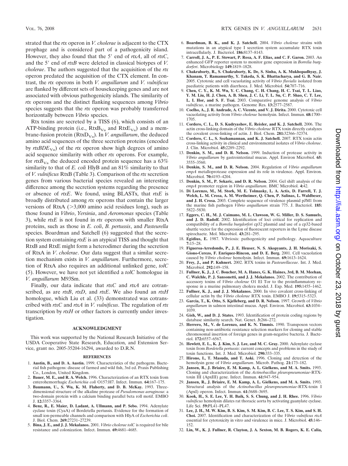strated that the *rtx* operon in *V. cholerae* is adjacent to the CTX prophage and is considered part of a pathogenicity island. However, they also found that the 5' end of rtxA, all of rtxC, and the 5' end of *rtxB* were deleted in classical biotypes of *V*. *cholerae*. The authors suggested that the acquisition of the *rtx* operon predated the acquisition of the CTX element. In contrast, the *rtx* operons in both *V. anguillarum* and *V. vulnificus* are flanked by different sets of housekeeping genes and are not associated with obvious pathogenicity islands. The similarity of *rtx* operons and the distinct flanking sequences among *Vibrio* species suggests that the *rtx* operon was probably transferred horizontally between *Vibrio* species.

Rtx toxins are secreted by a TISS (6), which consists of an ATP-binding protein (i.e.,  $RtxB<sub>Va</sub>$  and RtxE<sub>Va</sub>) and a membrane-fusion protein ( $RtxD_{Va}$ ). In *V. anguillarum*, the deduced amino acid sequences of the three secretion proteins (encoded by  $rtxBDE<sub>Va</sub>$ ) of the  $rtx$  operon show high degrees of amino acid sequence similarity with other *rtx* operons. For example, for  $rtxB<sub>Va</sub>$  the deduced encoded protein sequence has a 63% similarity to that of *E. coli* HlyB and an 81% similarity to that of *V. vulnificus* RtxB (Table 3). Comparison of the *rtx* secretion genes from various bacterial species revealed an interesting difference among the secretion systems regarding the presence or absence of *rtxE*. We found, using BLASTx, that *rtxE* is broadly distributed among *rtx* operons that contain the larger versions of RtxA  $(>3,000)$  amino acid residues long), such as those found in *Vibrio*, *Yersinia*, and *Aeromonas* species (Table 3), while *rtxE* is not found in *rtx* operons with smaller RtxA proteins, such as those in *E. coli*, *B. pertussis*, and *Pasteurella* species. Boardman and Satchell (6) suggested that the secretion system containing *rtxE* is an atypical TISS and thought that RtxB and RtxE might form a heterodimer during the secretion of RtxA in *V*. *cholerae*. Our data suggest that a similar secretion mechanism exists in *V. anguillarum*. Furthermore, secretion of RtxA also requires an additional unlinked gene, *tolC* (5). However, we have not yet identified a *tolC* homologue in *V. anguillarum* M93Sm.

Finally, our data indicate that *rtxC* and *rtxA* are cotranscribed, as are *rtxB*, *rtxD*, and *rtxE*. We also found an *rtxH* homologue, which Liu et al. (33) demonstrated was cotranscribed with *rtxC* and *rtxA* in *V. vulnificus*. The regulation of *rtx* transcription by *rtxH* or other factors is currently under investigation.

#### **ACKNOWLEDGMENT**

This work was supported by the National Research Initiative of the USDA Cooperative State Research, Education, and Extension Service, grant no. 2005-35204-16294, awarded to D.R.N.

#### **REFERENCES**

- 1. **Austin, B., and D. A. Austin.** 1999. Characteristics of the pathogens. Bacterial fish pathogens: disease of farmed and wild fish, 3rd ed. Praxis Publishing Co., London, United Kingdom.
- 2. **Bauer, M. E., and R. A. Welch.** 1996. Characterization of an RTX toxin from enterohemorrhagic *Escherichia coli* O157:H7. Infect. Immun. **64:**167–175.
- 3. **Baumann, U., S. Wu, K. M. Flaherty, and D. B. McKay.** 1993. Threedimensional structure of the alkaline protease of *Pseudomonas aeruginosa*: a two-domain protein with a calcium binding parallel beta roll motif. EMBO J. **12:**3357–3364.
- 4. **Benz, R., E. Maier, D. Ladant, A. Ullmann, and P. Sebo.** 1994. Adenylate cyclase toxin (CyaA) of Bordetella pertussis. Evidence for the formation of small ion-permeable channels and comparison with HlyA of *Escherichia coli*. J. Biol. Chem. **269:**27231–27239.
- 5. **Bina, J. E., and J. J. Mekalanos.** 2001. *Vibrio cholerae tolC* is required for bile resistance and colonization. Infect. Immun. **69:**4681–4685.
- 6. **Boardman, B. K., and K. J. Satchell.** 2004. *Vibrio cholerae* strains with mutations in an atypical type I secretion system accumulate RTX toxin intracellularly. J. Bacteriol. **186:**8137–8143.
- 7. **Carroll, J. A., P. E. Stewart, P. Rosa, A. F. Elias, and C. F. Garon.** 2003. An enhanced GFP reporter system to monitor gene expression in *Borrelia burgdorferi*. Microbiology **149:**1819–1828.
- 8. **Chakraborty, R., S. Chakraborty, K. De, S. Sinha, A. K. Mukhopadhyay, J. Khanam, T. Ramamurthy, Y. Takeda, S. K. Bhattacharya, and G. B. Nair.** 2005. Cytotoxic and cell vacuolating activity of *Vibrio fluvialis* isolated from paediatric patients with diarrhoea. J. Med. Microbiol. **54:**707–716.
- 9. **Chen, C. Y., K. M. Wu, Y. C. Chang, C. H. Chang, H. C. Tsai, T. L. Liao, Y. M. Liu, H. J. Chen, A. B. Shen, J. C. Li, T. L. Su, C. P. Shao, C. T. Lee, L. I. Hor, and S. F. Tsai.** 2003. Comparative genome analysis of *Vibrio vulnificus*, a marine pathogen. Genome Res. **13:**2577–2587.
- 10. **Coelho, A., J. R. Andrade, A. C. Vicente, and V. J. Dirita.** 2000. Cytotoxic cell vacuolating activity from *Vibrio cholerae* hemolysin. Infect. Immun. **68:**1700– 1705.
- 11. **Cordero, C. L., D. S. Kudryashov, E. Reisler, and K. J. Satchell.** 2006. The actin cross-linking domain of the *Vibrio cholerae* RTX toxin directly catalyzes the covalent cross-linking of actin. J. Biol. Chem. **281:**32366–32374.
- 12. **Cordero, C. L., S. Sozhamannan, and K. J. Satchell.** 2007. RTX toxin actin cross-linking activity in clinical and environmental isolates of *Vibrio cholerae*. J. Clin. Microbiol. **45:**2289–2292.
- 13. **Denkin, S. M., and D. R. Nelson.** 1999. Induction of protease activity in *Vibrio anguillarum* by gastrointestinal mucus. Appl. Environ Microbiol. **65:** 3555–3560.
- 14. **Denkin, S. M., and D. R. Nelson.** 2004. Regulation of *Vibrio anguillarum empA* metalloprotease expression and its role in virulence. Appl. Environ. Microbiol. **70:**4193–4204.
- 15. **Denkin, S. M., P. Sekaric, and D. R. Nelson.** 2004. Gel shift analysis of the *empA* promoter region in *Vibrio anguillarum*. BMC Microbiol. **4:**42.
- 16. **Di Lorenzo, M., M. Stork, M. E. Tolmasky, L. A. Actis, D. Farrell, T. J. Welch, L. M. Crosa, A. M. Wertheimer, Q. Chen, P. Salinas, L. Waldbeser, and J. H. Crosa.** 2003. Complete sequence of virulence plasmid pJM1 from the marine fish pathogen *Vibrio anguillarum* strain 775. J. Bacteriol. **185:** 5822–5830.
- 17. **Eggers, C. H., M. J. Caimano, M. L. Clawson, W. G. Miller, D. S. Samuels, and J. D. Radolf.** 2002. Identification of loci critical for replication and compatibility of a *Borrelia burgdorferi* cp32 plasmid and use of a cp32-based shuttle vector for the expression of fluorescent reporters in the Lyme disease spirochaete. Mol. Microbiol. **43:**281–295.
- 18. **Egidius, E.** 1987. Vibriosis: pathogenicity and pathology. Aquaculture **7:**15–28.
- 19. **Figueroa-Arredondo, P., J. E. Heuser, N. S. Akopyants, J. H. Morisaki, S. Giono-Cerezo, F. Enriquez-Rincon, and D. E. Berg.** 2001. Cell vacuolation caused by *Vibrio cholerae* hemolysin. Infect. Immun. **69:**1613–1624.
- 20. **Frey, J., and P. Kuhnert.** 2002. RTX toxins in *Pasteurellaceae*. Int. J. Med. Microbiol. **292:**149–158.
- 21. **Fullner, K. J., J. C. Boucher, M. A. Hanes, G. K. Haines, 3rd, B. M. Meehan, C. Walchle, P. J. Sansonetti, and J. J. Mekalanos.** 2002. The contribution of accessory toxins of *Vibrio cholerae* O1 El Tor to the proinflammatory response in a murine pulmonary cholera model. J. Exp. Med. **195:**1455–1462.
- 22. **Fullner, K. J., and J. J. Mekalanos.** 2000. In vivo covalent cross-linking of cellular actin by the *Vibrio cholerae* RTX toxin. EMBO J. **19:**5315–5323.
- 23. **Garcia, T., K. Otto, S. Kjelleberg, and D. R. Nelson.** 1997. Growth of *Vibrio anguillarum* in salmon intestinal mucus. Appl. Environ. Microbiol. **63:**1034– 1039.
- 24. **Gish, W., and D. J. States.** 1993. Identification of protein coding regions by database similarity search. Nat. Genet. **3:**266–272.
- 25. **Herrero, M., V. de Lorenzo, and K. N. Timmis.** 1990. Transposon vectors containing non-antibiotic resistance selection markers for cloning and stable chromosomal insertion of foreign genes in gram-negative bacteria. J. Bacteriol. **172:**6557–6567.
- 26. **Hewlett, E. L., K. J. Kim, S. J. Lee, and M. C. Gray.** 2000. Adenylate cyclase toxin from *Bordetella pertussis*: current concepts and problems in the study of toxin functions. Int. J. Med. Microbiol. **290:**333–335.
- 27. **Hirono, I., T. Masuda, and T. Aoki.** 1996. Cloning and detection of the hemolysin gene of *Vibrio anguillarum*. Microb. Pathog. **21:**173–182.
- 28. **Jansen, R., J. Briaire, E. M. Kamp, A. L. Gielkens, and M. A. Smits.** 1993. Cloning and characterization of the *Actinobacillus pleuropneumoniae*-RTXtoxin III (ApxIII) gene. Infect. Immun. **61:**947–954.
- 29. **Jansen, R., J. Briaire, E. M. Kamp, A. L. Gielkens, and M. A. Smits.** 1993. Structural analysis of the *Actinobacillus pleuropneumoniae*-RTX-toxin I (ApxI) operon. Infect. Immun. **61:**3688–3695.
- 30. **Kook, H., S. E. Lee, Y. H. Baik, S. S. Chung, and J. H. Rhee.** 1996. *Vibrio vulnificus* hemolysin dilates rat thoracic aorta by activating guanylate cyclase. Life Sci. **59:**PL41–PL47.
- 31. **Lee, J. H., M. W. Kim, B. S. Kim, S. M. Kim, B. C. Lee, T. S. Kim, and S. H. Choi.** 2007. Identification and characterization of the *Vibrio vulnificus rtxA* essential for cytotoxicity in vitro and virulence in mice. J. Microbiol. **45:**146– 152.
- 32. **Lin, W., K. J. Fullner, R. Clayton, J. A. Sexton, M. B. Rogers, K. E. Calia,**